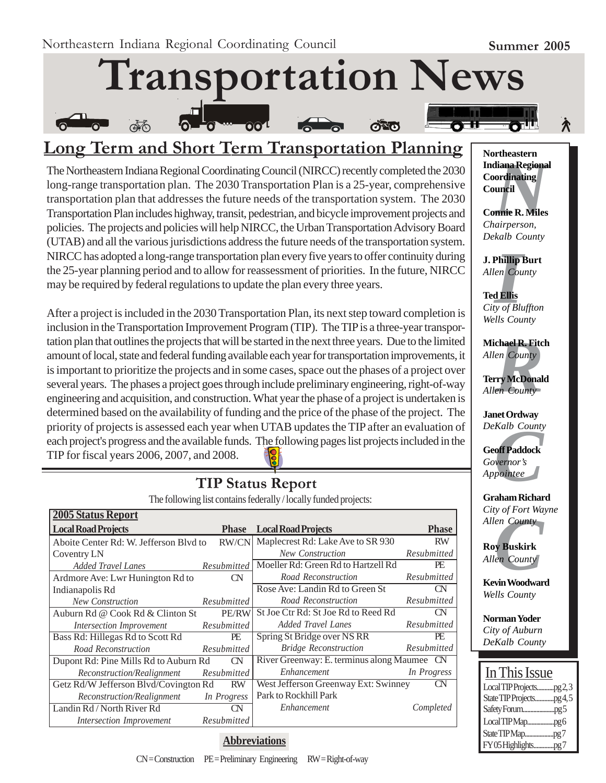

# **Long Term and Short Term Transportation Planning**

The Northeastern Indiana Regional Coordinating Council (NIRCC) recently completed the 2030 long-range transportation plan. The 2030 Transportation Plan is a 25-year, comprehensive transportation plan that addresses the future needs of the transportation system. The 2030 Transportation Plan includes highway, transit, pedestrian, and bicycle improvement projects and policies. The projects and policies will help NIRCC, the Urban Transportation Advisory Board (UTAB) and all the various jurisdictions address the future needs of the transportation system. NIRCC has adopted a long-range transportation plan every five years to offer continuity during the 25-year planning period and to allow for reassessment of priorities. In the future, NIRCC may be required by federal regulations to update the plan every three years.

After a project is included in the 2030 Transportation Plan, its next step toward completion is inclusion in the Transportation Improvement Program (TIP). The TIP is a three-year transportation plan that outlines the projects that will be started in the next three years. Due to the limited amount of local, state and federal funding available each year for transportation improvements, it is important to prioritize the projects and in some cases, space out the phases of a project over several years. The phases a project goes through include preliminary engineering, right-of-way engineering and acquisition, and construction. What year the phase of a project is undertaken is determined based on the availability of funding and the price of the phase of the project. The priority of projects is assessed each year when UTAB updates the TIP after an evaluation of each project's progress and the available funds. The following pages list projects included in the TIP for fiscal years 2006, 2007, and 2008.

#### **2005 Status Report** Local Road Projects Aboite Center Rd: W. Jefferson Blvd to RW/CN Coventry LN *Added Travel Lanes Resubmitted* Ardmore Ave: Lwr Hunington Rd to CN Indianapolis Rd  *New Construction Resubmitted* Auburn Rd @ Cook Rd & Clinton St PE/RW  *Intersection Improvement Resubmitted* Bass Rd: Hillegas Rd to Scott Rd PE  *Road Reconstruction Resubmitted* Dupont Rd: Pine Mills Rd to Auburn Rd CN  *Reconstruction/Realignment Resubmitted* Getz Rd/W Jefferson Blvd/Covington Rd RW  *Reconstruction/Realignment In Progress* Landin Rd / North River Rd CN *Intersection Improvement Resubmitted* **Phase Local Road Projects** Phase Maplecrest Rd: Lake Ave to SR 930 RW *New Construction Resubmitted* Moeller Rd: Green Rd to Hartzell Rd PE *Road Reconstruction Resubmitted* Rose Ave: Landin Rd to Green St CN *Road Reconstruction Resubmitted* St Joe Ctr Rd: St Joe Rd to Reed Rd CN *Added Travel Lanes Resubmitted* Spring St Bridge over NS RR PE *Bridge Reconstruction Resubmitted* River Greenway: E. terminus along Maumee CN *Enhancement In Progress* West Jefferson Greenway Ext: Swinney CN Park to Rockhill Park *Enhancement Completed*

# **TIP Status Report**

The following list contains federally / locally funded projects:

**Abbreviations**



**Connie R. Miles** *Chairperson, Dekalb County*

**J. Phillip Burt** *Allen County*

**Phillip**<br>*I*<br>**I**<br>**III**<br>*III*<br>*III*<br>*III*<br>*II* **Ted Ellis** *City of Bluffton Wells County*

**Michael R. Fitch<br>***Allen County***<br>Terry McDonald<br>***Allen County Allen County*

**Terry McDonald** *Allen County*

**Janet Ordway** *DeKalb County*

*Kalb County*<br>**off Paddock**<br>vernor's<br>pointee **Geoff Paddock** *Governor's Appointee*

**Graham Richard** *City of Fort Wayne*

*Cuy of Port wa<br>Allen County*<br>**Roy Buskirk**<br>*Allen County*<br>**Kevin Woodwar Roy Buskirk** *Allen County*

**Kevin Woodward** *Wells County*

**Norman Yoder** *City of Auburn DeKalb County*

| In This Issue           |  |
|-------------------------|--|
| LocalTIPProjectspg2,3   |  |
| State TIP Projectspg4,5 |  |
|                         |  |
|                         |  |
|                         |  |
| FY05Highlightspg7       |  |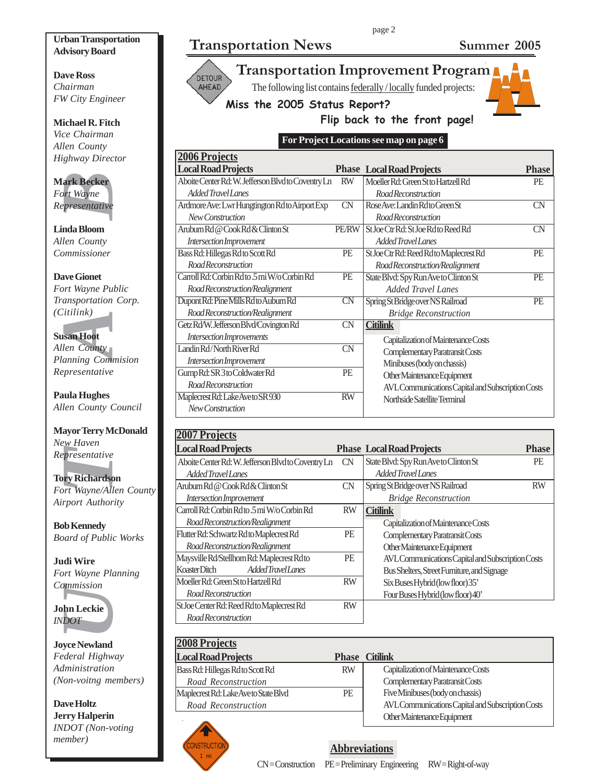#### **Urban Transportation Advisory Board**

**Dave Ross** *Chairman FW City Engineer*

**Michael R. Fitch** *Vice Chairman Allen County Highway Director*

**Mark Becker** *Fort Wayne Representative*

**Linda Bloom** *Allen County Commissioner*

**EXECT:**<br>
Fournance Section Wayne<br>
Fournance Presentative<br>
India Bloom<br>
Ien County<br>
Dimessioner<br>
Ansportation<br>
India Hughes<br>
India Hughes<br>
Ien County<br>
Algerian Hoot<br>
Ien County<br>
Presentative<br>
India Hughes<br>
Ien County<br>
Or R **Dave Gionet** *Fort Wayne Public Transportation Corp. (Citilink)*

#### **Susan Hoot**

*Allen County Planning Commision Representative*

**Paula Hughes** *Allen County Council*

**Mayor Terry McDonald** *New Haven Representative*

**Tory Richardson** *Fort Wayne/Allen County Airport Authority*

**Bob Kennedy** *Board of Public Works*

**Judi Wire** *Fort Wayne Planning Commission*

**John Leckie** *INDOT*

**Joyce Newland** *Federal Highway Administration (Non-voitng members)*

**Dave Holtz Jerry Halperin** *INDOT (Non-voting member)*

**Transportation News Summer 2005** 





**Transportation Improvement Program** The following list contains federally / locally funded projects:

**Miss the 2005 Status Report?**



#### **Flip back to the front page!**

page 2

**For Project Locations see map on page 6**

| <b>2006 Projects</b>                               |                        |                                                   |              |
|----------------------------------------------------|------------------------|---------------------------------------------------|--------------|
| <b>Local Road Projects</b>                         |                        | <b>Phase Local Road Projects</b>                  | <b>Phase</b> |
| Aboite Center Rd: W. Jefferson Blvd to Coventry Ln | <b>RW</b>              | Moeller Rd: Green St to Hartzell Rd               | PE           |
| Added Travel Lanes                                 |                        | Road Reconstruction                               |              |
| Ardmore Ave: Lwr Hungtington Rdto Airport Exp      | <b>CN</b>              | Rose Ave: Landin Rdto Green St                    | <b>CN</b>    |
| New Construction                                   |                        | Road Reconstruction                               |              |
| Aruburn Rd @ Cook Rd & Clinton St                  | <b>PE/RW</b>           | St Joe Ctr Rd: St Joe Rd to Reed Rd               | <b>CN</b>    |
| Intersection Improvement                           |                        | <b>Added Travel Lanes</b>                         |              |
| Bass Rd: Hillegas Rd to Scott Rd                   | PE                     | St Joe Ctr Rd: Reed Rd to Maplecrest Rd           | PE           |
| Road Reconstruction                                |                        | Road Reconstruction/Realignment                   |              |
| Carroll Rd: Corbin Rd to .5 mi W/o Corbin Rd       | PE                     | State Blvd: Spy Run Ave to Clinton St             | PE           |
| Road Reconstruction/Realignment                    |                        | <b>Added Travel Lanes</b>                         |              |
| Dupont Rd: Pine Mills Rdto Auburn Rd               | $\overline{\text{CN}}$ | Spring St Bridge over NS Railroad                 | PE           |
| Road Reconstruction/Realignment                    |                        | <b>Bridge Reconstruction</b>                      |              |
| Getz Rd/W. Jefferson Blvd/Covington Rd             | <b>CN</b>              | <b>Citilink</b>                                   |              |
| Intersection Improvements                          |                        | Capitalization of Maintenance Costs               |              |
| Landin Rd/North River Rd                           | <b>CN</b>              | Complementary Paratransit Costs                   |              |
| Intersection Improvement                           |                        | Minibuses (body on chassis)                       |              |
| Gump Rd: SR 3 to Coldwater Rd                      | PE                     | Other Maintenance Equipment                       |              |
| Road Reconstruction                                |                        | AVL Communications Capital and Subscription Costs |              |
| Maplecrest Rd: Lake Aveto SR 930                   | <b>RW</b>              | Northside Satellite Terminal                      |              |
| New Construction                                   |                        |                                                   |              |

| <b>2007 Projects</b>                               |           |                                                   |              |
|----------------------------------------------------|-----------|---------------------------------------------------|--------------|
| <b>Local Road Projects</b>                         |           | <b>Phase Local Road Projects</b>                  | <b>Phase</b> |
| Aboite Center Rd: W. Jefferson Blvd to Coventry Ln | CN        | State Blvd: Spy Run Ave to Clinton St             | <b>PE</b>    |
| Added Travel Lanes                                 |           | Added Travel Lanes                                |              |
| Aruburn Rd @ Cook Rd & Clinton St                  | CN        | Spring St Bridge over NS Railroad                 | <b>RW</b>    |
| Intersection Improvement                           |           | <b>Bridge Reconstruction</b>                      |              |
| Carroll Rd: Corbin Rd to 5 mi W/o Corbin Rd        | <b>RW</b> | <b>Citilink</b>                                   |              |
| Road Reconstruction/Realignment                    |           | Capitalization of Maintenance Costs               |              |
| Flutter Rd: Schwartz Rd to Maplecrest Rd           | PE        | Complementary Paratransit Costs                   |              |
| Road Reconstruction/Realignment                    |           | Other Maintenance Equipment                       |              |
| Maysville Rd/Stellhorn Rd: Maplecrest Rd to        | <b>PE</b> | AVL Communications Capital and Subscription Costs |              |
| Added Travel Lanes<br>Koaster Ditch                |           | Bus Shelters, Street Furniture, and Signage       |              |
| Moeller Rd: Green St to Hartzell Rd                | <b>RW</b> | Six Buses Hybrid (low floor) 35'                  |              |
| Road Reconstruction                                |           | Four Buses Hybrid (low floor) 40'                 |              |
| St Joe Center Rd: Reed Rd to Maplecrest Rd         | <b>RW</b> |                                                   |              |
| Road Reconstruction                                |           |                                                   |              |

| <b>2008 Projects</b>                  |           |                                                   |
|---------------------------------------|-----------|---------------------------------------------------|
| <b>Local Road Projects</b>            |           | <b>Phase Citilink</b>                             |
| Bass Rd: Hillegas Rd to Scott Rd      | <b>RW</b> | Capitalization of Maintenance Costs               |
| Road Reconstruction                   |           | Complementary Paratransit Costs                   |
| Maplecrest Rd: Lake Ave to State Blvd | PE        | Five Minibuses (body on chassis)                  |
| Road Reconstruction                   |           | AVL Communications Capital and Subscription Costs |
|                                       |           | Other Maintenance Equipment                       |



### **Abbreviations**

CN = Construction PE = Preliminary Engineering RW = Right-of-way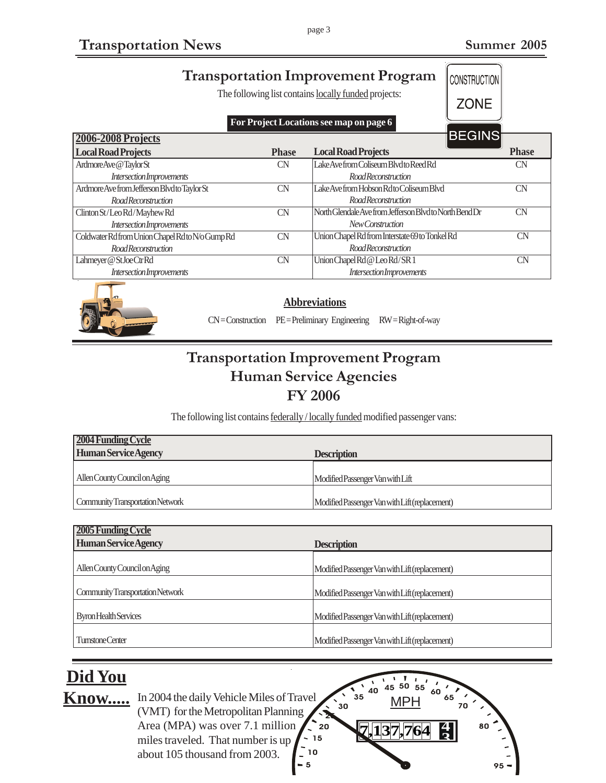| <b>Transportation Improvement Program</b><br>The following list contains locally funded projects:<br>For Project Locations see map on page 6 |              | CONSTRUCTION<br><b>ZONE</b>                             |               |              |
|----------------------------------------------------------------------------------------------------------------------------------------------|--------------|---------------------------------------------------------|---------------|--------------|
| <b>2006-2008 Projects</b>                                                                                                                    |              |                                                         | <b>BEGINS</b> |              |
| <b>Local Road Projects</b>                                                                                                                   | <b>Phase</b> | <b>Local Road Projects</b>                              |               | <b>Phase</b> |
| ArdmoreAve@TaylorSt                                                                                                                          | CN           | Lake Ave from Coliseum Blvd to Reed Rd                  |               | <b>CN</b>    |
| <i>Intersection Improvements</i>                                                                                                             |              | <b>RoadReconstruction</b>                               |               |              |
| Ardmore Ave from Jefferson Blvd to Taylor St                                                                                                 | CN           | Lake Ave from Hobson Rd to Coliseum Blvd                |               | CN           |
| <b>Road Reconstruction</b>                                                                                                                   |              | Road Reconstruction                                     |               |              |
| Clinton St/Leo Rd/Mayhew Rd                                                                                                                  | CN           | North Glendale Ave from Jefferson Blvd to North Bend Dr |               | <b>CN</b>    |
| <b>Intersection Improvements</b>                                                                                                             |              | New Construction                                        |               |              |
| Coldwater Rd from Union Chapel Rd to N/o Gump Rd                                                                                             | <b>CN</b>    | Union Chapel Rd from Interstate 69 to Tonkel Rd         |               | CN           |
| <b>RoadReconstruction</b>                                                                                                                    |              | <b>RoadReconstruction</b>                               |               |              |
| Lahmeyer @ StJoe CtrRd                                                                                                                       | <b>CN</b>    | Union Chapel Rd @ Leo Rd/SR 1                           |               | CN           |
| <b>Intersection Improvements</b>                                                                                                             |              | Intersection Improvements                               |               |              |
|                                                                                                                                              |              |                                                         |               |              |



**Abbreviations**

CN = Construction PE = Preliminary Engineering RW = Right-of-way

# **Transportation Improvement Program Human Service Agencies FY 2006**

The following list contains **federally** / locally funded modified passenger vans:

| <b>2004 Funding Cycle</b>               |                                                |
|-----------------------------------------|------------------------------------------------|
| <b>Human Service Agency</b>             | <b>Description</b>                             |
|                                         |                                                |
| Allen County Council on Aging           | Modified Passenger Van with Lift               |
|                                         |                                                |
| <b>Community Transportation Network</b> | Modified Passenger Van with Lift (replacement) |

| 2005 Funding Cycle               |                                                |
|----------------------------------|------------------------------------------------|
| <b>Human Service Agency</b>      | <b>Description</b>                             |
|                                  |                                                |
| Allen County Council on Aging    | Modified Passenger Van with Lift (replacement) |
|                                  |                                                |
| Community Transportation Network | Modified Passenger Van with Lift (replacement) |
|                                  |                                                |
| <b>Byron Health Services</b>     | Modified Passenger Van with Lift (replacement) |
|                                  |                                                |
| <b>Turnstone Center</b>          | Modified Passenger Van with Lift (replacement) |

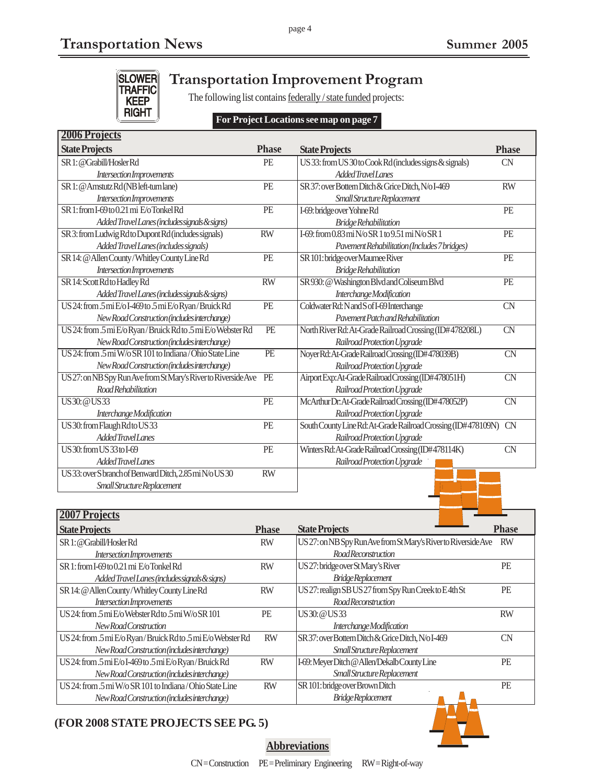

# **Transportation Improvement Program**

The following list contains federally / state funded projects:

#### **For Project Locations see map on page 7**

| <b>2006 Projects</b>                                           |                 |                                                               |                        |
|----------------------------------------------------------------|-----------------|---------------------------------------------------------------|------------------------|
| <b>State Projects</b>                                          | <b>Phase</b>    | <b>State Projects</b>                                         | <b>Phase</b>           |
| SR 1: @Grabill/HoslerRd                                        | PE              | US 33: from US 30 to Cook Rd (includes signs & signals)       | <b>CN</b>              |
| Intersection Improvements                                      |                 | Added Travel Lanes                                            |                        |
| SR 1: @ Amstutz Rd (NB left-turn lane)                         | PE              | SR 37: over Bottern Ditch & Grice Ditch, N/o I-469            | <b>RW</b>              |
| Intersection Improvements                                      |                 | Small Structure Replacement                                   |                        |
| SR 1: from I-69 to 0.21 mi E/o Tonkel Rd                       | PE              | I-69: bridge over Yohne Rd                                    | PE                     |
| Added Travel Lanes (includes signals & signs)                  |                 | <b>Bridge Rehabilitation</b>                                  |                        |
| SR 3: from Ludwig Rd to Dupont Rd (includes signals)           | <b>RW</b>       | I-69: from 0.83 mi N/o SR 1 to 9.51 mi N/o SR 1               | PE                     |
| Added Travel Lanes (includes signals)                          |                 | Pavement Rehabilitation (Includes 7 bridges)                  |                        |
| SR 14: @ Allen County/Whitley County Line Rd                   | PE              | SR 101: bridge over Maumee River                              | PE                     |
| Intersection Improvements                                      |                 | <b>Bridge Rehabilitation</b>                                  |                        |
| SR 14: Scott Rd to Hadley Rd                                   | $\overline{RW}$ | SR 930: @ Washington Blvd and Coliseum Blvd                   | PE                     |
| Added Travel Lanes (includes signals & signs)                  |                 | Interchange Modification                                      |                        |
| US24: from .5 mi E/o I-469 to .5 mi E/o Ryan/Bruick Rd         | PE              | Coldwater Rd: N and S of I-69 Interchange                     | <b>CN</b>              |
| New Road Construction (includes interchange)                   |                 | Pavement Patch and Rehabilitation                             |                        |
| US 24: from .5 mi E/o Ryan/Bruick Rd to .5 mi E/o Webster Rd   | $\overline{PE}$ | North River Rd: At-Grade Railroad Crossing (ID#478208L)       | $\overline{\text{CN}}$ |
| New Road Construction (includes interchange)                   |                 | Railroad Protection Upgrade                                   |                        |
| US 24: from .5 mi W/o SR 101 to Indiana/Ohio State Line        | $\overline{PE}$ | Noyer Rd: At-Grade Railroad Crossing (ID#478039B)             | $\overline{\text{CN}}$ |
| New Road Construction (includes interchange)                   |                 | Railroad Protection Upgrade                                   |                        |
| US 27: on NB Spy Run Ave from St Mary's River to Riverside Ave | PE              | Airport Exp: At-Grade Railroad Crossing (ID#478051H)          | $\overline{\text{CN}}$ |
| Road Rehabilitation                                            |                 | Railroad Protection Upgrade                                   |                        |
| <b>US30: @US33</b>                                             | $\overline{PE}$ | McArthur Dr. At-Grade Railroad Crossing (ID#478052P)          | $\overline{\text{CN}}$ |
| Interchange Modification                                       |                 | Railroad Protection Upgrade                                   |                        |
| US 30: from Flaugh Rd to US 33                                 | PE              | South County Line Rd: At-Grade Railroad Crossing (ID#478109N) | <b>CN</b>              |
| Added Travel Lanes                                             |                 | Railroad Protection Upgrade                                   |                        |
| US 30: from US 33 to I-69                                      | PE              | Winters Rd: At-Grade Railroad Crossing (ID#478114K)           | <b>CN</b>              |
| <b>Added Travel Lanes</b>                                      |                 | Railroad Protection Upgrade                                   |                        |
| US33: over S branch of Benward Ditch, 2.85 mi N/o US30         | <b>RW</b>       |                                                               |                        |
| Small Structure Replacement                                    |                 |                                                               |                        |

| 2007 Projects                                                |              |                                                                |              |
|--------------------------------------------------------------|--------------|----------------------------------------------------------------|--------------|
| <b>State Projects</b>                                        | <b>Phase</b> | <b>State Projects</b>                                          | <b>Phase</b> |
| SR1: @Grabill/HoslerRd                                       | <b>RW</b>    | US 27: on NB Spy Run Ave from St Mary's River to Riverside Ave | <b>RW</b>    |
| Intersection Improvements                                    |              | Road Reconstruction                                            |              |
| SR 1: from I-69 to 0.21 mi E/o Tonkel Rd                     | <b>RW</b>    | US 27: bridge over St Mary's River                             | PE           |
| Added Travel Lanes (includes signals & signs)                |              | <b>BridgeReplacement</b>                                       |              |
| SR 14: @ Allen County/Whitley County Line Rd                 | <b>RW</b>    | US 27: realign SB US 27 from Spy Run Creek to E4th St          | PE           |
| Intersection Improvements                                    |              | Road Reconstruction                                            |              |
| US 24: from $5$ mi $E$ /o Webster Rd to $5$ mi W/o SR 101    | <b>PE</b>    | US 30: @ US 33                                                 | <b>RW</b>    |
| New Road Construction                                        |              | Interchange Modification                                       |              |
| US 24: from .5 mi E/o Ryan/Bruick Rd to .5 mi E/o Webster Rd | <b>RW</b>    | SR 37: over Bottern Ditch & Grice Ditch, N/o I-469             | CΝ           |
| New Road Construction (includes interchange)                 |              | Small Structure Replacement                                    |              |
| US 24: from .5 mi E/o I-469 to .5 mi E/o Ryan/Bruick Rd      | <b>RW</b>    | I-69: Meyer Ditch @ Allen/Dekalb County Line                   | <b>PE</b>    |
| New Road Construction (includes interchange)                 |              | Small Structure Replacement                                    |              |
| US 24: from .5 mi W/o SR 101 to Indiana/Ohio State Line      | <b>RW</b>    | SR 101: bridge over Brown Ditch                                | PE           |
| New Road Construction (includes interchange)                 |              | Bridge Replacement                                             |              |

### **(FOR 2008 STATE PROJECTS SEE PG. 5)**



**Abbreviations**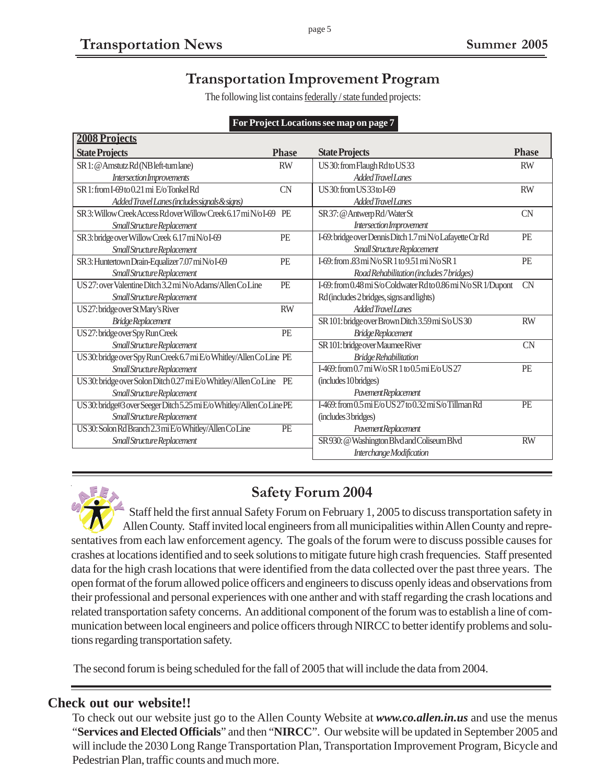# **Transportation Improvement Program**

The following list contains federally / state funded projects:

|                                                                        |              | . .                                                            |              |
|------------------------------------------------------------------------|--------------|----------------------------------------------------------------|--------------|
| <b>2008 Projects</b>                                                   |              |                                                                |              |
| <b>State Projects</b>                                                  | <b>Phase</b> | <b>State Projects</b>                                          | <b>Phase</b> |
| SR 1: @ Amstutz Rd (NB left-turn lane)                                 | <b>RW</b>    | US 30: from Flaugh Rd to US 33                                 | <b>RW</b>    |
| Intersection Improvements                                              |              | Added Travel Lanes                                             |              |
| SR 1: from I-69 to 0.21 mi E/o Tonkel Rd                               | <b>CN</b>    | US 30: from US 33 to I-69                                      | <b>RW</b>    |
| Added Travel Lanes (includes signals & signs)                          |              | Added Travel Lanes                                             |              |
| SR 3: Willow Creek Access Rdover Willow Creek 6.17 mi N/o I-69         | PE           | SR 37: @ Antwerp Rd/Water St                                   | <b>CN</b>    |
| Small Structure Replacement                                            |              | Intersection Improvement                                       |              |
| SR 3: bridge over Willow Creek 6.17 mi N/o I-69                        | PE           | I-69: bridge over Dennis Ditch 1.7 mi N/o Lafayette Ctr Rd     | PE           |
| Small Structure Replacement                                            |              | Small Structure Replacement                                    |              |
| SR 3: Huntertown Drain-Equalizer 7.07 mi N/o I-69                      | PE           | I-69: from $.83$ mi N/o SR 1 to 9.51 mi N/o SR 1               | PE           |
| Small Structure Replacement                                            |              | Road Rehabilitation (includes 7 bridges)                       |              |
| US 27: over Valentine Ditch 3.2 mi N/oAdams/Allen Co Line              | PE           | I-69: from 0.48 mi S/o Coldwater Rd to 0.86 mi N/o SR 1/Dupont | <b>CN</b>    |
| Small Structure Replacement                                            |              | Rd (includes 2 bridges, signs and lights)                      |              |
| US27: bridge over St Mary's River                                      | <b>RW</b>    | Added Travel Lanes                                             |              |
| <b>BridgeReplacement</b>                                               |              | SR 101: bridge over Brown Ditch 3.59 mi S/o US 30              | <b>RW</b>    |
| US 27: bridge over Spy Run Creek                                       | PE           | Bridge Replacement                                             |              |
| Small Structure Replacement                                            |              | SR 101: bridge over Maumee River                               | <b>CN</b>    |
| US 30: bridge over Spy Run Creek 6.7 mi E/o Whitley/Allen Co Line PE   |              | <b>Bridge Rehabilitation</b>                                   |              |
| Small Structure Replacement                                            |              | $I=469$ : from 0.7 mi W/o SR 1 to 0.5 mi E/o US 27             | PE           |
| US 30: bridge over Solon Ditch 0.27 mi E/o Whitley/Allen Co Line       | PE           | (includes 10 bridges)                                          |              |
| Small Structure Replacement                                            |              | Pavement Replacement                                           |              |
| US 30: bridge#3 over Seeger Ditch 5.25 mi E/o Whitley/Allen Co Line PE |              | I-469: from 0.5 mi E/o US 27 to 0.32 mi S/o Tillman Rd         | PE           |
| Small Structure Replacement                                            |              | (includes 3 bridges)                                           |              |
| US 30: Solon Rd Branch 2.3 mi E/o Whitley/Allen Co Line                | PE           | PavementReplacement                                            |              |
| Small Structure Replacement                                            |              | SR 930: @ Washington Blvd and Coliseum Blvd                    | <b>RW</b>    |
|                                                                        |              | Interchange Modification                                       |              |

#### **For Project Locations see map on page 7**



### **Safety Forum 2004**

Staff held the first annual Safety Forum on February 1, 2005 to discuss transportation safety in Allen County. Staff invited local engineers from all municipalities within Allen County and representatives from each law enforcement agency. The goals of the forum were to discuss possible causes for crashes at locations identified and to seek solutions to mitigate future high crash frequencies. Staff presented data for the high crash locations that were identified from the data collected over the past three years. The open format of the forum allowed police officers and engineers to discuss openly ideas and observations from their professional and personal experiences with one anther and with staff regarding the crash locations and related transportation safety concerns. An additional component of the forum was to establish a line of communication between local engineers and police officers through NIRCC to better identify problems and solutions regarding transportation safety.

The second forum is being scheduled for the fall of 2005 that will include the data from 2004.

### **Check out our website!!**

To check out our website just go to the Allen County Website at *www.co.allen.in.us* and use the menus "**Services and Elected Officials**" and then "**NIRCC**". Our website will be updated in September 2005 and will include the 2030 Long Range Transportation Plan, Transportation Improvement Program, Bicycle and Pedestrian Plan, traffic counts and much more.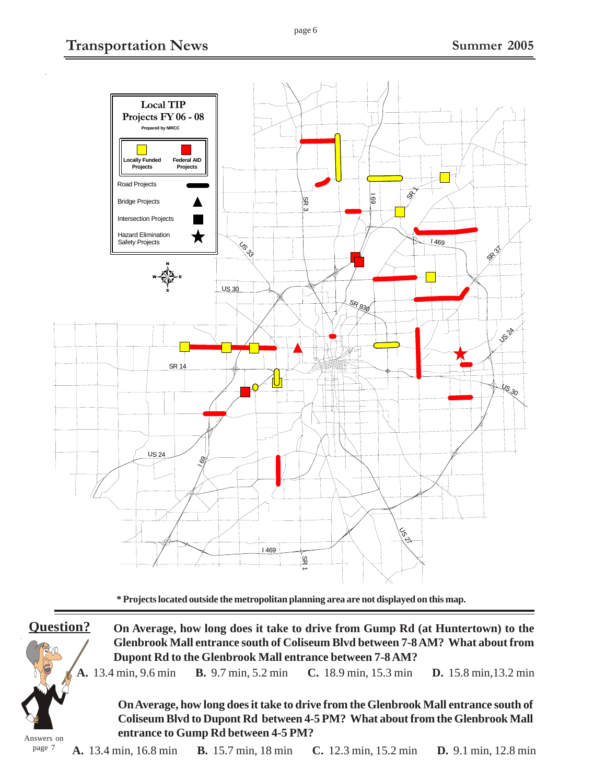

**\* Projects located outside the metropolitan planning area are not displayed on this map.**

**Question?**

Answers on

page 7

**On Average, how long does it take to drive from Gump Rd (at Huntertown) to the Glenbrook Mall entrance south of Coliseum Blvd between 7-8 AM? What about from Dupont Rd to the Glenbrook Mall entrance between 7-8 AM?**

**A.** 13.4 min, 9.6 min **B.** 9.7 min, 5.2 min **C.** 18.9 min, 15.3 min **D.** 15.8 min,13.2 min

**On Average, how long does it take to drive from the Glenbrook Mall entrance south of Coliseum Blvd to Dupont Rd between 4-5 PM? What about from the Glenbrook Mall entrance to Gump Rd between 4-5 PM?**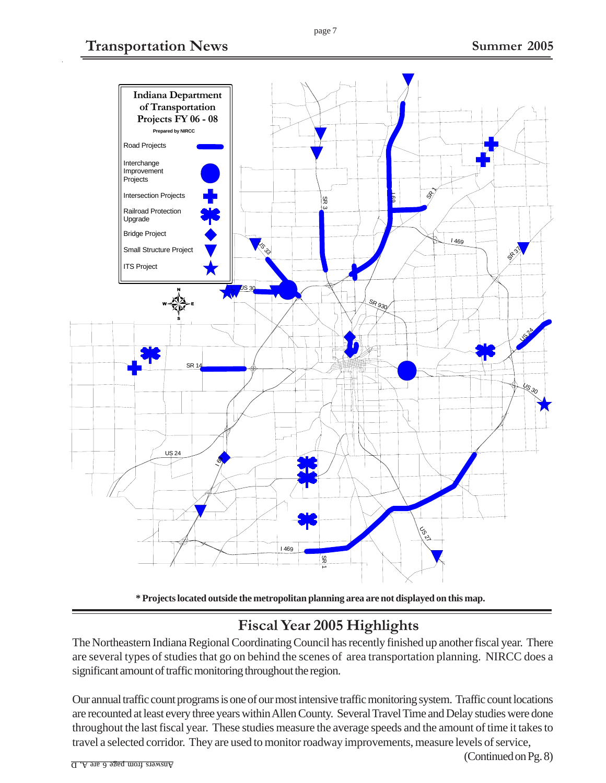

#### **\* Projects located outside the metropolitan planning area are not displayed on this map.**

# **Fiscal Year 2005 Highlights**

The Northeastern Indiana Regional Coordinating Council has recently finished up another fiscal year. There are several types of studies that go on behind the scenes of area transportation planning. NIRCC does a significant amount of traffic monitoring throughout the region.

Our annual traffic count programs is one of our most intensive traffic monitoring system. Traffic count locations are recounted at least every three years within Allen County. Several Travel Time and Delay studies were done throughout the last fiscal year. These studies measure the average speeds and the amount of time it takes to travel a selected corridor. They are used to monitor roadway improvements, measure levels of service,

(Continued on Pg. 8)